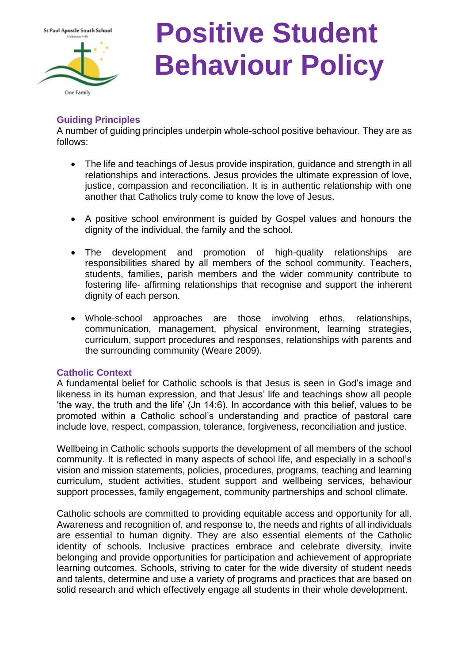

# **Positive Student Behaviour Policy**

# **Guiding Principles**

A number of guiding principles underpin whole-school positive behaviour. They are as follows:

- The life and teachings of Jesus provide inspiration, guidance and strength in all relationships and interactions. Jesus provides the ultimate expression of love, justice, compassion and reconciliation. It is in authentic relationship with one another that Catholics truly come to know the love of Jesus.
- A positive school environment is guided by Gospel values and honours the dignity of the individual, the family and the school.
- The development and promotion of high-quality relationships are responsibilities shared by all members of the school community. Teachers, students, families, parish members and the wider community contribute to fostering life- affirming relationships that recognise and support the inherent dignity of each person.
- Whole-school approaches are those involving ethos, relationships, communication, management, physical environment, learning strategies, curriculum, support procedures and responses, relationships with parents and the surrounding community (Weare 2009).

# **Catholic Context**

A fundamental belief for Catholic schools is that Jesus is seen in God's image and likeness in its human expression, and that Jesus' life and teachings show all people 'the way, the truth and the life' (Jn 14:6). In accordance with this belief, values to be promoted within a Catholic school's understanding and practice of pastoral care include love, respect, compassion, tolerance, forgiveness, reconciliation and justice.

Wellbeing in Catholic schools supports the development of all members of the school community. It is reflected in many aspects of school life, and especially in a school's vision and mission statements, policies, procedures, programs, teaching and learning curriculum, student activities, student support and wellbeing services, behaviour support processes, family engagement, community partnerships and school climate.

Catholic schools are committed to providing equitable access and opportunity for all. Awareness and recognition of, and response to, the needs and rights of all individuals are essential to human dignity. They are also essential elements of the Catholic identity of schools. Inclusive practices embrace and celebrate diversity, invite belonging and provide opportunities for participation and achievement of appropriate learning outcomes. Schools, striving to cater for the wide diversity of student needs and talents, determine and use a variety of programs and practices that are based on solid research and which effectively engage all students in their whole development.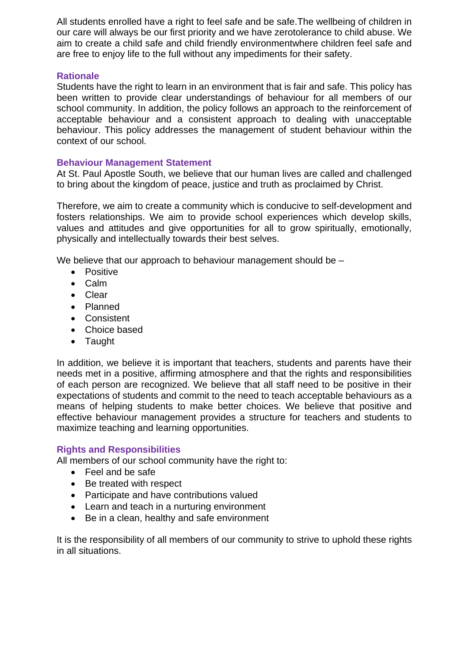All students enrolled have a right to feel safe and be safe.The wellbeing of children in our care will always be our first priority and we have zerotolerance to child abuse. We aim to create a child safe and child friendly environmentwhere children feel safe and are free to enjoy life to the full without any impediments for their safety.

#### **Rationale**

Students have the right to learn in an environment that is fair and safe. This policy has been written to provide clear understandings of behaviour for all members of our school community. In addition, the policy follows an approach to the reinforcement of acceptable behaviour and a consistent approach to dealing with unacceptable behaviour. This policy addresses the management of student behaviour within the context of our school.

#### **Behaviour Management Statement**

At St. Paul Apostle South, we believe that our human lives are called and challenged to bring about the kingdom of peace, justice and truth as proclaimed by Christ.

Therefore, we aim to create a community which is conducive to self-development and fosters relationships. We aim to provide school experiences which develop skills, values and attitudes and give opportunities for all to grow spiritually, emotionally, physically and intellectually towards their best selves.

We believe that our approach to behaviour management should be –

- Positive
- Calm
- Clear
- Planned
- Consistent
- Choice based
- Taught

In addition, we believe it is important that teachers, students and parents have their needs met in a positive, affirming atmosphere and that the rights and responsibilities of each person are recognized. We believe that all staff need to be positive in their expectations of students and commit to the need to teach acceptable behaviours as a means of helping students to make better choices. We believe that positive and effective behaviour management provides a structure for teachers and students to maximize teaching and learning opportunities.

## **Rights and Responsibilities**

All members of our school community have the right to:

- Feel and be safe
- Be treated with respect
- Participate and have contributions valued
- Learn and teach in a nurturing environment
- Be in a clean, healthy and safe environment

It is the responsibility of all members of our community to strive to uphold these rights in all situations.